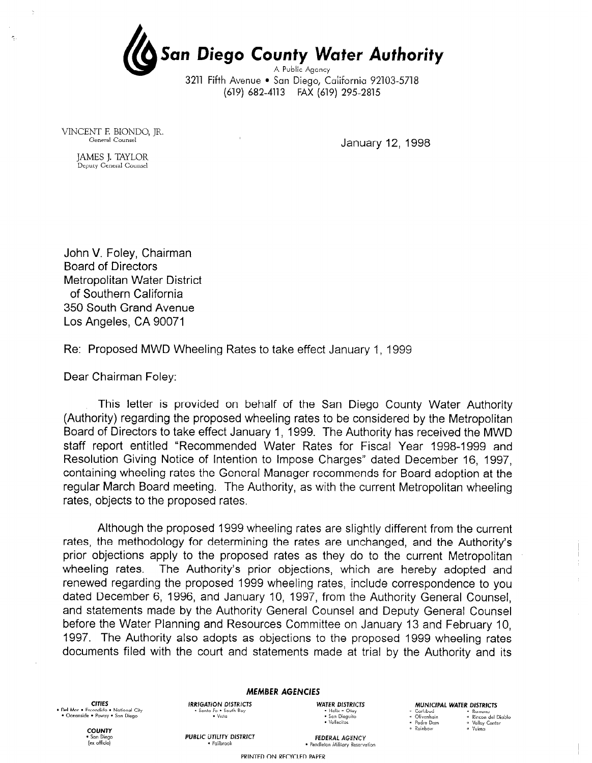San Diego County Water Authority A Public Agency

3211 Fifth Avenue • San Diego, California 92103-5718 (619) 682-4113 FAX (619) 295-2815

VINCENT E BIONDO, JR.

 $\tau_{\rm c}$ 

January 12, 1998

JAMES J. TAYLOR Deputy General Counsel

John V. Foley, Chairman Board of Directors Metropolitan Water District of Southern California 350 South Grand Avenue Los Angeles, CA 90071

Re: Proposed MWD Wheeling Rates to take effect January 1, 1999

Dear Chairman Foley:

This letter is provided on behalf of the San Diego County Water Authority (Authority) regarding the proposed wheeling rates to be considered by the Metropolitan Board of Directors to take effect January I, 1999. The Authority has received the MWD staff report entitled "Recommended Water Rates for Fiscal Year 1998-1999 and Resolution Giving Notice of Intention to impose Charges" dated December 16, 1997, containing wheeling rates the General Manager recommends for Board adoption at the regular March Board meeting. The Authority, as with the current Metropolitan wheeling rates, objects to the proposed rates.

Although the proposed 1999 wheeling rates are slightly different from the current rates, the methodology for determining the rates are unchanged, and the Authority's prior objections apply to the proposed rates as they do to the current Metropolitan wheeling rates. The Authority's prior objections, which are hereby adopted and renewed regarding the proposed 1999 wheeling rates, include correspondence to you dated December 6, 1996, and January IO, 1997, from the Authority General Counsel, and statements made by the Authority General Counsel and Deputy General Counsel before the Water Planning and Resources Committee on January 13 and February IO, 1997. The Authority also adopts as objections to the proposed 1999 wheeling rates documents filed with the court and statements made at trial by the Authority and its

CITIES<br>• Del Mar • Escondi<br>• Cr \* Del Mar - Ercondido . National City - Oceonride \* Powoy - Son Diego MEMBER AGENCIES

IRRIGAYiON DISTRICTS WATER DlSTRlCTS - Sonto Fe . Sauih Buy . Helix - Oioy . "lit0 . San Dicguh

• Helix • Otay<br>• San Dieguito<br>• Vallecitos

MUNICIPAL WATER DISTRICTS

- Carlsbad<br>- Clivenhain - Ramona<br>- Clivenhain - A Rincon del Diablo · Padre Dam · Rainbow

umaor: Carlot<br>Vallev Center a Yuima

**COUNT** (ex officio)

PUBLIC UTILITY DISTRICT UTILITY DISTRICT FEDERAL AGENCY<br>\* Fallbrook \* Pendleton Military Reservation

PRINTED ON RECYCLED PAPER